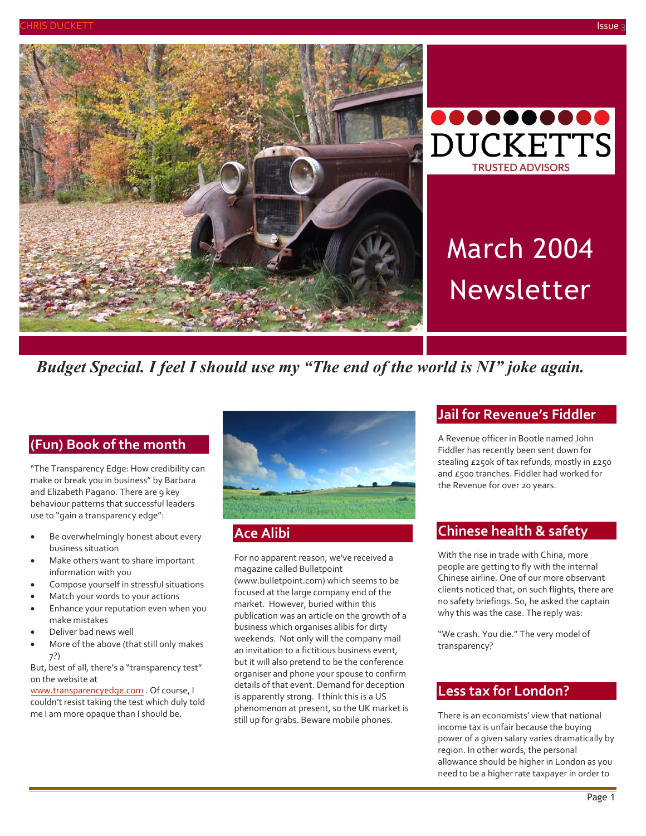



# March 2004 Newsletter

*Budget Special. I feel I should use my "The end of the world is NI" joke again.*

# **(Fun) Book of the month**

"The Transparency Edge: How credibility can make or break you in business" by Barbara and Elizabeth Pagano. There are 9 key behaviour patterns that successful leaders use to "gain a transparency edge":

- Be overwhelmingly honest about every business situation
- Make others want to share important information with you
- Compose yourself in stressful situations
- Match your words to your actions
- Enhance your reputation even when you make mistakes
- Deliver bad news well
- More of the above (that still only makes 7?)

But, best of all, there's a "transparency test" on the website at

[www.transparencyedge.com](http://www.transparencyedge.com/) . Of course, I couldn't resist taking the test which duly told me I am more opaque than I should be.



# **Ace Alibi**

For no apparent reason, we've received a magazine called Bulletpoint

(www.bulletpoint.com) which seems to be focused at the large company end of the market. However, buried within this publication was an article on the growth of a business which organises alibis for dirty weekends. Not only will the company mail an invitation to a fictitious business event, but it will also pretend to be the conference organiser and phone your spouse to confirm details of that event. Demand for deception is apparently strong. I think this is a US phenomenon at present, so the UK market is still up for grabs. Beware mobile phones.

## **Jail for Revenue's Fiddler**

A Revenue officer in Bootle named John Fiddler has recently been sent down for stealing £250k of tax refunds, mostly in £250 and £500 tranches. Fiddler had worked for the Revenue for over 20 years.

# **Chinese health & safety**

With the rise in trade with China, more people are getting to fly with the internal Chinese airline. One of our more observant clients noticed that, on such flights, there are no safety briefings. So, he asked the captain why this was the case. The reply was:

"We crash. You die." The very model of transparency?

# **Less tax for London?**

There is an economists' view that national income tax is unfair because the buying power of a given salary varies dramatically by region. In other words, the personal allowance should be higher in London as you need to be a higher rate taxpayer in order to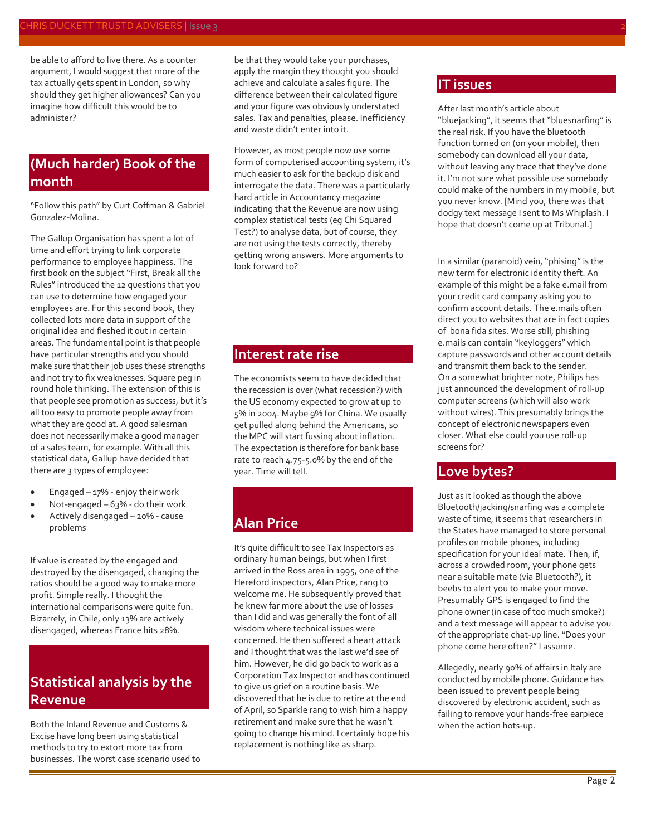be able to afford to live there. As a counter argument, I would suggest that more of the tax actually gets spent in London, so why should they get higher allowances? Can you imagine how difficult this would be to administer?

# **(Much harder) Book of the month**

"Follow this path" by Curt Coffman & Gabriel Gonzalez-Molina.

The Gallup Organisation has spent a lot of time and effort trying to link corporate performance to employee happiness. The first book on the subject "First, Break all the Rules" introduced the 12 questions that you can use to determine how engaged your employees are. For this second book, they collected lots more data in support of the original idea and fleshed it out in certain areas. The fundamental point is that people have particular strengths and you should make sure that their job uses these strengths and not try to fix weaknesses. Square peg in round hole thinking. The extension of this is that people see promotion as success, but it's all too easy to promote people away from what they are good at. A good salesman does not necessarily make a good manager of a sales team, for example. With all this statistical data, Gallup have decided that there are 3 types of employee:

- Engaged  $-17%$  enjoy their work
- Not-engaged 63% do their work
- Actively disengaged 20% cause problems

If value is created by the engaged and destroyed by the disengaged, changing the ratios should be a good way to make more profit. Simple really. I thought the international comparisons were quite fun. Bizarrely, in Chile, only 13% are actively disengaged, whereas France hits 28%.

# **Statistical analysis by the Revenue**

Both the Inland Revenue and Customs & Excise have long been using statistical methods to try to extort more tax from businesses. The worst case scenario used to be that they would take your purchases, apply the margin they thought you should achieve and calculate a sales figure. The difference between their calculated figure and your figure was obviously understated sales. Tax and penalties, please. Inefficiency and waste didn't enter into it.

However, as most people now use some form of computerised accounting system, it's much easier to ask for the backup disk and interrogate the data. There was a particularly hard article in Accountancy magazine indicating that the Revenue are now using complex statistical tests (eg Chi Squared Test?) to analyse data, but of course, they are not using the tests correctly, thereby getting wrong answers. More arguments to look forward to?

#### **Interest rate rise**

The economists seem to have decided that the recession is over (what recession?) with the US economy expected to grow at up to 5% in 2004. Maybe 9% for China. We usually get pulled along behind the Americans, so the MPC will start fussing about inflation. The expectation is therefore for bank base rate to reach 4.75-5.0% by the end of the year. Time will tell.

# **Alan Price**

It's quite difficult to see Tax Inspectors as ordinary human beings, but when I first arrived in the Ross area in 1995, one of the Hereford inspectors, Alan Price, rang to welcome me. He subsequently proved that he knew far more about the use of losses than I did and was generally the font of all wisdom where technical issues were concerned. He then suffered a heart attack and I thought that was the last we'd see of him. However, he did go back to work as a Corporation Tax Inspector and has continued to give us grief on a routine basis. We discovered that he is due to retire at the end of April, so Sparkle rang to wish him a happy retirement and make sure that he wasn't going to change his mind. I certainly hope his replacement is nothing like as sharp.

#### **IT issues**

After last month's article about "bluejacking", it seems that "bluesnarfing" is the real risk. If you have the bluetooth function turned on (on your mobile), then somebody can download all your data, without leaving any trace that they've done it. I'm not sure what possible use somebody could make of the numbers in my mobile, but you never know. [Mind you, there was that dodgy text message I sent to Ms Whiplash. I hope that doesn't come up at Tribunal.]

In a similar (paranoid) vein, "phising" is the new term for electronic identity theft. An example of this might be a fake e.mail from your credit card company asking you to confirm account details. The e.mails often direct you to websites that are in fact copies of bona fida sites. Worse still, phishing e.mails can contain "keyloggers" which capture passwords and other account details and transmit them back to the sender. On a somewhat brighter note, Philips has just announced the development of roll-up computer screens (which will also work without wires). This presumably brings the concept of electronic newspapers even closer. What else could you use roll-up screens for?

#### **Love bytes?**

Just as it looked as though the above Bluetooth/jacking/snarfing was a complete waste of time, it seems that researchers in the States have managed to store personal profiles on mobile phones, including specification for your ideal mate. Then, if, across a crowded room, your phone gets near a suitable mate (via Bluetooth?), it beebs to alert you to make your move. Presumably GPS is engaged to find the phone owner (in case of too much smoke?) and a text message will appear to advise you of the appropriate chat-up line. "Does your phone come here often?" I assume.

Allegedly, nearly 90% of affairs in Italy are conducted by mobile phone. Guidance has been issued to prevent people being discovered by electronic accident, such as failing to remove your hands-free earpiece when the action hots-up.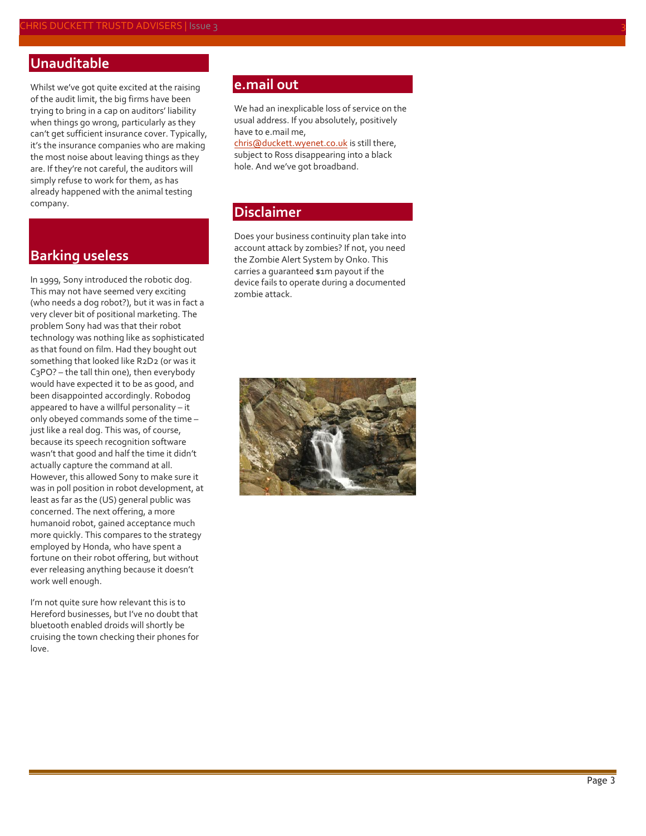# **Unauditable**

Whilst we've got quite excited at the raising of the audit limit, the big firms have been trying to bring in a cap on auditors' liability when things go wrong, particularly as they can't get sufficient insurance cover. Typically, it's the insurance companies who are making the most noise about leaving things as they are. If they're not careful, the auditors will simply refuse to work for them, as has already happened with the animal testing company.

## **Barking useless**

In 1999, Sony introduced the robotic dog. This may not have seemed very exciting (who needs a dog robot?), but it was in fact a very clever bit of positional marketing. The problem Sony had was that their robot technology was nothing like as sophisticated as that found on film. Had they bought out something that looked like R2D2 (or was it C3PO? – the tall thin one), then everybody would have expected it to be as good, and been disappointed accordingly. Robodog appeared to have a willful personality – it only obeyed commands some of the time – just like a real dog. This was, of course, because its speech recognition software wasn't that good and half the time it didn't actually capture the command at all. However, this allowed Sony to make sure it was in poll position in robot development, at least as far as the (US) general public was concerned. The next offering, a more humanoid robot, gained acceptance much more quickly. This compares to the strategy employed by Honda, who have spent a fortune on their robot offering, but without ever releasing anything because it doesn't work well enough.

I'm not quite sure how relevant this is to Hereford businesses, but I've no doubt that bluetooth enabled droids will shortly be cruising the town checking their phones for love.

### **e.mail out**

We had an inexplicable loss of service on the usual address. If you absolutely, positively have to e.mail me,

[chris@duckett.wyenet.co.uk](mailto:chris@duckett.wyenet.co.uk) is still there, subject to Ross disappearing into a black hole. And we've got broadband.

## **Disclaimer**

Does your business continuity plan take into account attack by zombies? If not, you need the Zombie Alert System by Onko. This carries a guaranteed \$1m payout if the device fails to operate during a documented zombie attack.